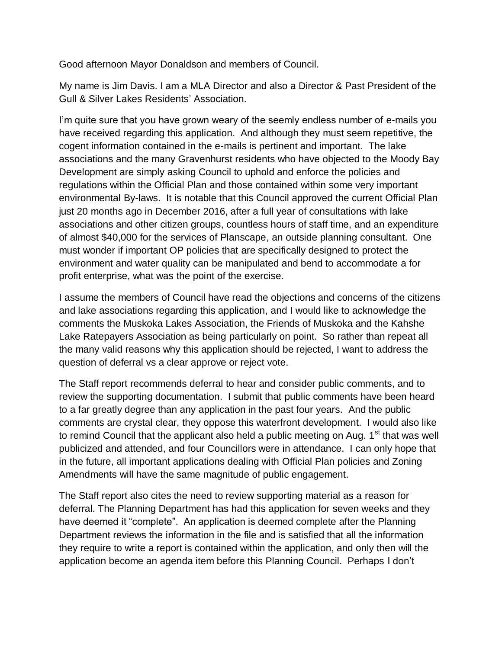Good afternoon Mayor Donaldson and members of Council.

My name is Jim Davis. I am a MLA Director and also a Director & Past President of the Gull & Silver Lakes Residents' Association.

I'm quite sure that you have grown weary of the seemly endless number of e-mails you have received regarding this application. And although they must seem repetitive, the cogent information contained in the e-mails is pertinent and important. The lake associations and the many Gravenhurst residents who have objected to the Moody Bay Development are simply asking Council to uphold and enforce the policies and regulations within the Official Plan and those contained within some very important environmental By-laws. It is notable that this Council approved the current Official Plan just 20 months ago in December 2016, after a full year of consultations with lake associations and other citizen groups, countless hours of staff time, and an expenditure of almost \$40,000 for the services of Planscape, an outside planning consultant. One must wonder if important OP policies that are specifically designed to protect the environment and water quality can be manipulated and bend to accommodate a for profit enterprise, what was the point of the exercise.

I assume the members of Council have read the objections and concerns of the citizens and lake associations regarding this application, and I would like to acknowledge the comments the Muskoka Lakes Association, the Friends of Muskoka and the Kahshe Lake Ratepayers Association as being particularly on point. So rather than repeat all the many valid reasons why this application should be rejected, I want to address the question of deferral vs a clear approve or reject vote.

The Staff report recommends deferral to hear and consider public comments, and to review the supporting documentation. I submit that public comments have been heard to a far greatly degree than any application in the past four years. And the public comments are crystal clear, they oppose this waterfront development. I would also like to remind Council that the applicant also held a public meeting on Aug.  $1<sup>st</sup>$  that was well publicized and attended, and four Councillors were in attendance. I can only hope that in the future, all important applications dealing with Official Plan policies and Zoning Amendments will have the same magnitude of public engagement.

The Staff report also cites the need to review supporting material as a reason for deferral. The Planning Department has had this application for seven weeks and they have deemed it "complete". An application is deemed complete after the Planning Department reviews the information in the file and is satisfied that all the information they require to write a report is contained within the application, and only then will the application become an agenda item before this Planning Council. Perhaps I don't